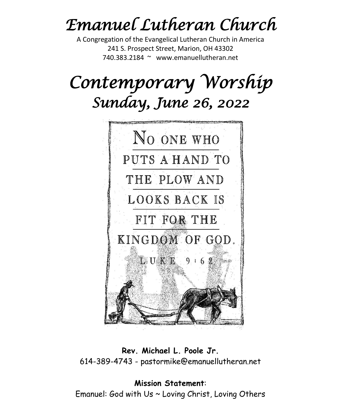# *Emanuel Lutheran Church*

A Congregation of the Evangelical Lutheran Church in America 241 S. Prospect Street, Marion, OH 43302 740.383.2184 ~ www.emanuellutheran.net

# *Contemporary Worship Sunday, June 26, 2022*



**Rev. Michael L. Poole Jr.** 614-389-4743 - pastormike@emanuellutheran.net

**Mission Statement**: Emanuel: God with Us ~ Loving Christ, Loving Others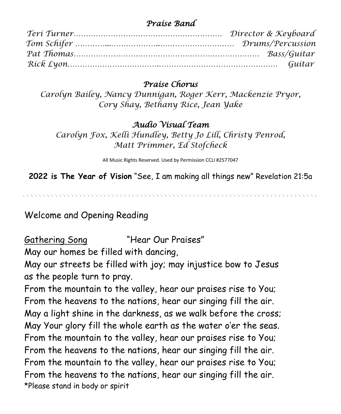# *Praise Band*

## *Praise Chorus*

*Carolyn Bailey, Nancy Dunnigan, Roger Kerr, Mackenzie Pryor, Cory Shay, Bethany Rice, Jean Yake*

# *Audio Visual Team*

*Carolyn Fox, Kelli Hundley, Betty Jo Lill, Christy Penrod, Matt Primmer, Ed Stofcheck*

All Music Rights Reserved. Used by Permission CCLI #2577047

**2022 is The Year of Vision** "See, I am making all things new" Revelation 21:5a

Welcome and Opening Reading

Gathering Song "Hear Our Praises"

May our homes be filled with dancing,

May our streets be filled with joy; may injustice bow to Jesus as the people turn to pray.

From the mountain to the valley, hear our praises rise to You; From the heavens to the nations, hear our singing fill the air. May a light shine in the darkness, as we walk before the cross; May Your glory fill the whole earth as the water o'er the seas. From the mountain to the valley, hear our praises rise to You; From the heavens to the nations, hear our singing fill the air. From the mountain to the valley, hear our praises rise to You; From the heavens to the nations, hear our singing fill the air. \*Please stand in body or spirit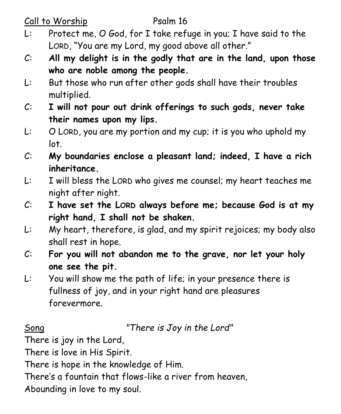Call to Worship Psalm 16

- L: Protect me, O God, for I take refuge in you; I have said to the LORD, "You are my Lord, my good above all other."
- C: **All my delight is in the godly that are in the land, upon those who are noble among the people.**
- L: But those who run after other gods shall have their troubles multiplied.
- C: **I will not pour out drink offerings to such gods, never take their names upon my lips.**
- L: O LORD, you are my portion and my cup; it is you who uphold my lot.
- C: **My boundaries enclose a pleasant land; indeed, I have a rich inheritance.**
- L: I will bless the LORD who gives me counsel; my heart teaches me night after night.
- C: **I have set the LORD always before me; because God is at my right hand, I shall not be shaken.**
- L: My heart, therefore, is glad, and my spirit rejoices; my body also shall rest in hope.
- C: **For you will not abandon me to the grave, nor let your holy one see the pit.**
- L: You will show me the path of life; in your presence there is fullness of joy, and in your right hand are pleasures forevermore.

Song *"There is Joy in the Lord"*

There is joy in the Lord,

There is love in His Spirit.

There is hope in the knowledge of Him.

There's a fountain that flows-like a river from heaven,

Abounding in love to my soul.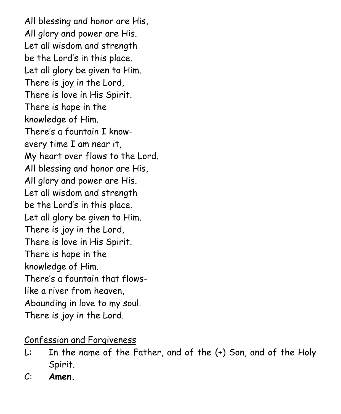All blessing and honor are His, All glory and power are His. Let all wisdom and strength be the Lord's in this place. Let all glory be given to Him. There is joy in the Lord, There is love in His Spirit. There is hope in the knowledge of Him. There's a fountain I knowevery time I am near it, My heart over flows to the Lord. All blessing and honor are His, All glory and power are His. Let all wisdom and strength be the Lord's in this place. Let all glory be given to Him. There is joy in the Lord, There is love in His Spirit. There is hope in the knowledge of Him. There's a fountain that flowslike a river from heaven, Abounding in love to my soul. There is joy in the Lord.

# Confession and Forgiveness

- L: In the name of the Father, and of the (+) Son, and of the Holy Spirit.
- C: **Amen.**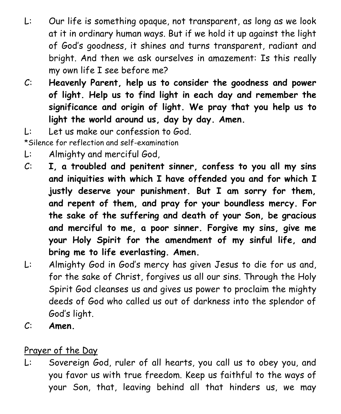- L: Our life is something opaque, not transparent, as long as we look at it in ordinary human ways. But if we hold it up against the light of God's goodness, it shines and turns transparent, radiant and bright. And then we ask ourselves in amazement: Is this really my own life I see before me?
- C: **Heavenly Parent, help us to consider the goodness and power of light. Help us to find light in each day and remember the significance and origin of light. We pray that you help us to light the world around us, day by day. Amen.**
- L: Let us make our confession to God.

\*Silence for reflection and self-examination

- L: Almighty and merciful God,
- C: **I, a troubled and penitent sinner, confess to you all my sins and iniquities with which I have offended you and for which I justly deserve your punishment. But I am sorry for them, and repent of them, and pray for your boundless mercy. For the sake of the suffering and death of your Son, be gracious and merciful to me, a poor sinner. Forgive my sins, give me your Holy Spirit for the amendment of my sinful life, and bring me to life everlasting. Amen.**
- L: Almighty God in God's mercy has given Jesus to die for us and, for the sake of Christ, forgives us all our sins. Through the Holy Spirit God cleanses us and gives us power to proclaim the mighty deeds of God who called us out of darkness into the splendor of God's light.
- C: **Amen.**

# Prayer of the Day

L: Sovereign God, ruler of all hearts, you call us to obey you, and you favor us with true freedom. Keep us faithful to the ways of your Son, that, leaving behind all that hinders us, we may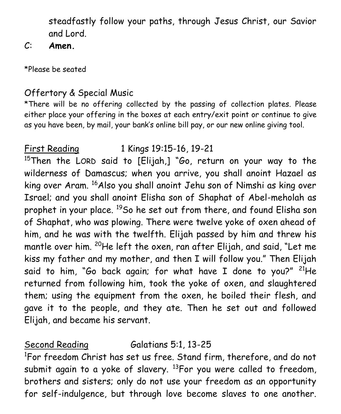steadfastly follow your paths, through Jesus Christ, our Savior and Lord.

C: **Amen.**

\*Please be seated

# Offertory & Special Music

\*There will be no offering collected by the passing of collection plates. Please either place your offering in the boxes at each entry/exit point or continue to give as you have been, by mail, your bank's online bill pay, or our new online giving tool.

# First Reading 1 Kings 19:15-16, 19-21

<sup>15</sup>Then the LORD said to [Elijah,] "Go, return on your way to the wilderness of Damascus; when you arrive, you shall anoint Hazael as king over Aram. <sup>16</sup>Also you shall anoint Jehu son of Nimshi as king over Israel; and you shall anoint Elisha son of Shaphat of Abel-meholah as prophet in your place. <sup>19</sup>So he set out from there, and found Elisha son of Shaphat, who was plowing. There were twelve yoke of oxen ahead of him, and he was with the twelfth. Elijah passed by him and threw his mantle over him. <sup>20</sup>He left the oxen, ran after Elijah, and said, "Let me kiss my father and my mother, and then I will follow you." Then Elijah said to him, "Go back again; for what have I done to you?" <sup>21</sup>He returned from following him, took the yoke of oxen, and slaughtered them; using the equipment from the oxen, he boiled their flesh, and gave it to the people, and they ate. Then he set out and followed Elijah, and became his servant.

# Second Reading **Galatians 5:1, 13-25**

<sup>1</sup>For freedom Christ has set us free. Stand firm, therefore, and do not submit again to a yoke of slavery.  $^{13}$  For you were called to freedom, brothers and sisters; only do not use your freedom as an opportunity for self-indulgence, but through love become slaves to one another.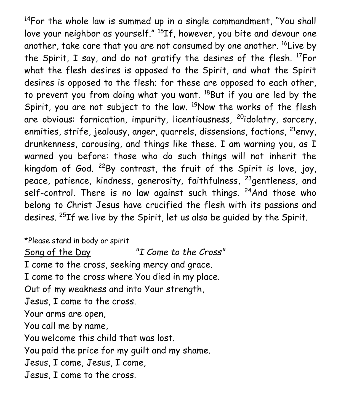$14$ For the whole law is summed up in a single commandment, "You shall love your neighbor as yourself." <sup>15</sup>If, however, you bite and devour one another, take care that you are not consumed by one another. <sup>16</sup>Live by the Spirit, I say, and do not gratify the desires of the flesh.  $^{17}$ For what the flesh desires is opposed to the Spirit, and what the Spirit desires is opposed to the flesh; for these are opposed to each other, to prevent you from doing what you want. <sup>18</sup>But if you are led by the Spirit, you are not subject to the law. <sup>19</sup>Now the works of the flesh are obvious: fornication, impurity, licentiousness, <sup>20</sup>idolatry, sorcery, enmities, strife, jealousy, anger, quarrels, dissensions, factions, <sup>21</sup>envy, drunkenness, carousing, and things like these. I am warning you, as I warned you before: those who do such things will not inherit the kingdom of God. <sup>22</sup>By contrast, the fruit of the Spirit is love, joy, peace, patience, kindness, generosity, faithfulness, <sup>23</sup>gentleness, and self-control. There is no law against such things. <sup>24</sup>And those who belong to Christ Jesus have crucified the flesh with its passions and desires. <sup>25</sup>If we live by the Spirit, let us also be guided by the Spirit.

\*Please stand in body or spirit Song of the Day *"I Come to the Cross"* I come to the cross, seeking mercy and grace. I come to the cross where You died in my place. Out of my weakness and into Your strength, Jesus, I come to the cross. Your arms are open, You call me by name, You welcome this child that was lost. You paid the price for my guilt and my shame. Jesus, I come, Jesus, I come, Jesus, I come to the cross.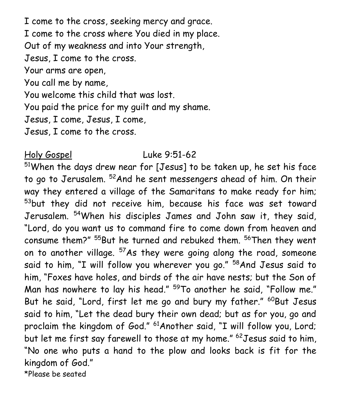I come to the cross, seeking mercy and grace. I come to the cross where You died in my place. Out of my weakness and into Your strength, Jesus, I come to the cross. Your arms are open, You call me by name, You welcome this child that was lost. You paid the price for my guilt and my shame. Jesus, I come, Jesus, I come, Jesus, I come to the cross.

## Holy Gospel Luke 9:51-62

 $51$ When the days drew near for [Jesus] to be taken up, he set his face to go to Jerusalem. <sup>52</sup> And he sent messengers ahead of him. On their way they entered a village of the Samaritans to make ready for him;  $53$ but they did not receive him, because his face was set toward Jerusalem. <sup>54</sup>When his disciples James and John saw it, they said, "Lord, do you want us to command fire to come down from heaven and consume them?" <sup>55</sup>But he turned and rebuked them. <sup>56</sup>Then they went on to another village.  $57$ As they were going along the road, someone said to him, "I will follow you wherever you go." <sup>58</sup> And Jesus said to him, "Foxes have holes, and birds of the air have nests; but the Son of Man has nowhere to lay his head." <sup>59</sup>To another he said, "Follow me." But he said, "Lord, first let me go and bury my father." <sup>60</sup>But Jesus said to him, "Let the dead bury their own dead; but as for you, go and proclaim the kingdom of God." <sup>61</sup>Another said, "I will follow you, Lord; but let me first say farewell to those at my home." <sup>62</sup>Jesus said to him, "No one who puts a hand to the plow and looks back is fit for the kingdom of God." \*Please be seated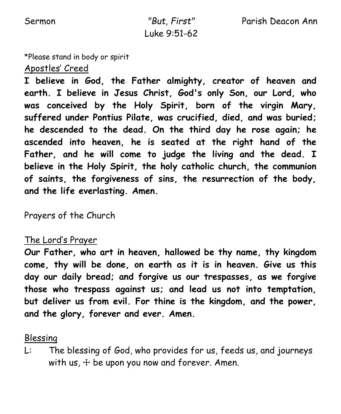Luke 9:51-62

\*Please stand in body or spirit

### Apostles' Creed

**I believe in God, the Father almighty, creator of heaven and earth. I believe in Jesus Christ, God's only Son, our Lord, who was conceived by the Holy Spirit, born of the virgin Mary, suffered under Pontius Pilate, was crucified, died, and was buried; he descended to the dead. On the third day he rose again; he ascended into heaven, he is seated at the right hand of the Father, and he will come to judge the living and the dead. I believe in the Holy Spirit, the holy catholic church, the communion of saints, the forgiveness of sins, the resurrection of the body, and the life everlasting. Amen.**

Prayers of the Church

### The Lord's Prayer

**Our Father, who art in heaven, hallowed be thy name, thy kingdom come, thy will be done, on earth as it is in heaven. Give us this day our daily bread; and forgive us our trespasses, as we forgive those who trespass against us; and lead us not into temptation, but deliver us from evil. For thine is the kingdom, and the power, and the glory, forever and ever. Amen.**

### Blessing

L: The blessing of God, who provides for us, feeds us, and journeys with us,  $+$  be upon you now and forever. Amen.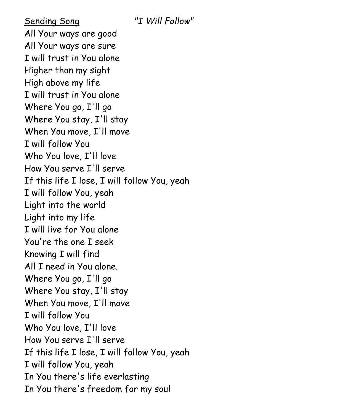Sending Song *"I Will Follow"* All Your ways are good All Your ways are sure I will trust in You alone Higher than my sight High above my life I will trust in You alone Where You go, I'll go Where You stay, I'll stay When You move, I'll move I will follow You Who You love, I'll love How You serve I'll serve If this life I lose, I will follow You, yeah I will follow You, yeah Light into the world Light into my life I will live for You alone You're the one I seek Knowing I will find All I need in You alone. Where You go, I'll go Where You stay, I'll stay When You move, I'll move I will follow You Who You love, I'll love How You serve I'll serve If this life I lose, I will follow You, yeah I will follow You, yeah In You there's life everlasting In You there's freedom for my soul